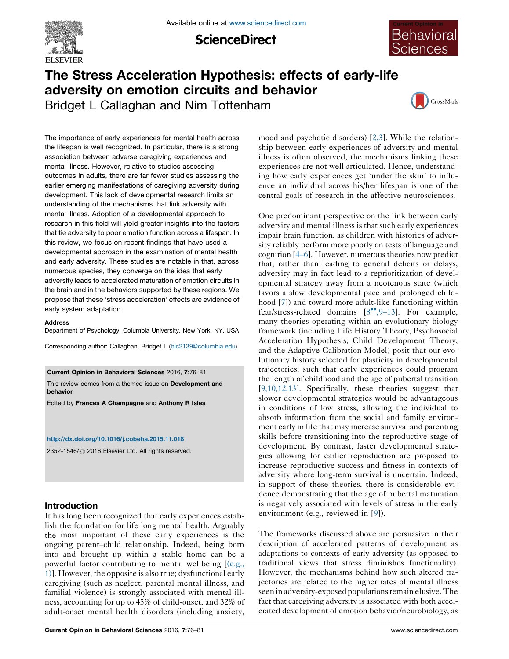

**ScienceDirect** 



# The Stress Acceleration Hypothesis: effects of early-life adversity on emotion circuits and behavior

Bridget L Callaghan and Nim Tottenham



The importance of early experiences for mental health across the lifespan is well recognized. In particular, there is a strong association between adverse caregiving experiences and mental illness. However, relative to studies assessing outcomes in adults, there are far fewer studies assessing the earlier emerging manifestations of caregiving adversity during development. This lack of developmental research limits an understanding of the mechanisms that link adversity with mental illness. Adoption of a developmental approach to research in this field will yield greater insights into the factors that tie adversity to poor emotion function across a lifespan. In this review, we focus on recent findings that have used a developmental approach in the examination of mental health and early adversity. These studies are notable in that, across numerous species, they converge on the idea that early adversity leads to accelerated maturation of emotion circuits in the brain and in the behaviors supported by these regions. We propose that these 'stress acceleration' effects are evidence of early system adaptation.

#### Address

Department of Psychology, Columbia University, New York, NY, USA

Corresponding author: Callaghan, Bridget L ([blc2139@columbia.edu\)](mailto:blc2139@columbia.edu)

Current Opinion in Behavioral Sciences 2016, 7:76–81

This review comes from a themed issue on Development and behavior

Edited by Frances A Champagne and Anthony R Isles

#### <http://dx.doi.org/10.1016/j.cobeha.2015.11.018>

2352-1546/ C 2016 Elsevier Ltd. All rights reserved.

## Introduction

It has long been recognized that early experiences establish the foundation for life long mental health. Arguably the most important of these early experiences is the ongoing parent–child relationship. Indeed, being born into and brought up within a stable home can be a powerful factor contributing to mental wellbeing [\[\(e.g.,](#page-4-0) [1\)](#page-4-0)]. However, the opposite is also true; dysfunctional early caregiving (such as neglect, parental mental illness, and familial violence) is strongly associated with mental illness, accounting for up to 45% of child-onset, and 32% of adult-onset mental health disorders (including anxiety, mood and psychotic disorders) [\[2,3\]](#page-4-0). While the relationship between early experiences of adversity and mental illness is often observed, the mechanisms linking these experiences are not well articulated. Hence, understanding how early experiences get 'under the skin' to influence an individual across his/her lifespan is one of the central goals of research in the affective neurosciences.

One predominant perspective on the link between early adversity and mental illness is that such early experiences impair brain function, as children with histories of adversity reliably perform more poorly on tests of language and cognition [4–[6\]](#page-4-0). However, numerous theories now predict that, rather than leading to general deficits or delays, adversity may in fact lead to a reprioritization of developmental strategy away from a neotenous state (which favors a slow developmental pace and prolonged childhood [[7\]](#page-4-0)) and toward more adult-like functioning within fear/stress-related domains [[8](#page-4-0)\*,9-[13\]](#page-4-0). For example, many theories operating within an evolutionary biology framework (including Life History Theory, Psychosocial Acceleration Hypothesis, Child Development Theory, and the Adaptive Calibration Model) posit that our evolutionary history selected for plasticity in developmental trajectories, such that early experiences could program the length of childhood and the age of pubertal transition [\[9,10,12,13\]](#page-4-0). Specifically, these theories suggest that slower developmental strategies would be advantageous in conditions of low stress, allowing the individual to absorb information from the social and family environment early in life that may increase survival and parenting skills before transitioning into the reproductive stage of development. By contrast, faster developmental strategies allowing for earlier reproduction are proposed to increase reproductive success and fitness in contexts of adversity where long-term survival is uncertain. Indeed, in support of these theories, there is considerable evidence demonstrating that the age of pubertal maturation is negatively associated with levels of stress in the early environment (e.g., reviewed in [[9\]](#page-4-0)).

The frameworks discussed above are persuasive in their description of accelerated patterns of development as adaptations to contexts of early adversity (as opposed to traditional views that stress diminishes functionality). However, the mechanisms behind how such altered trajectories are related to the higher rates of mental illness seen in adversity-exposed populations remain elusive. The fact that caregiving adversity is associated with both accelerated development of emotion behavior/neurobiology, as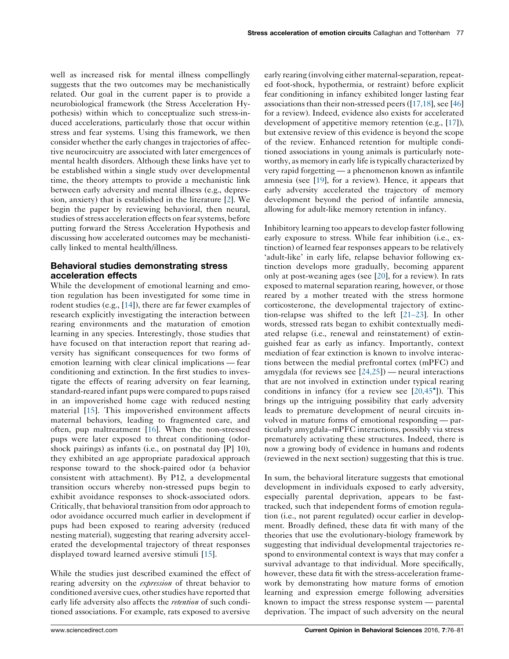well as increased risk for mental illness compellingly suggests that the two outcomes may be mechanistically related. Our goal in the current paper is to provide a neurobiological framework (the Stress Acceleration Hypothesis) within which to conceptualize such stress-induced accelerations, particularly those that occur within stress and fear systems. Using this framework, we then consider whether the early changes in trajectories of affective neurocircuitry are associated with later emergences of mental health disorders. Although these links have yet to be established within a single study over developmental time, the theory attempts to provide a mechanistic link between early adversity and mental illness (e.g., depression, anxiety) that is established in the literature [\[2\]](#page-4-0). We begin the paper by reviewing behavioral, then neural, studies of stress acceleration effects on fear systems, before putting forward the Stress Acceleration Hypothesis and discussing how accelerated outcomes may be mechanistically linked to mental health/illness.

## Behavioral studies demonstrating stress acceleration effects

While the development of emotional learning and emotion regulation has been investigated for some time in rodent studies (e.g., [[14\]](#page-4-0)), there are far fewer examples of research explicitly investigating the interaction between rearing environments and the maturation of emotion learning in any species. Interestingly, those studies that have focused on that interaction report that rearing adversity has significant consequences for two forms of emotion learning with clear clinical implications — fear conditioning and extinction. In the first studies to investigate the effects of rearing adversity on fear learning, standard-reared infant pups were compared to pups raised in an impoverished home cage with reduced nesting material [\[15](#page-4-0)]. This impoverished environment affects maternal behaviors, leading to fragmented care, and often, pup maltreatment [[16\]](#page-4-0). When the non-stressed pups were later exposed to threat conditioning (odorshock pairings) as infants (i.e., on postnatal day [P] 10), they exhibited an age appropriate paradoxical approach response toward to the shock-paired odor (a behavior consistent with attachment). By P12, a developmental transition occurs whereby non-stressed pups begin to exhibit avoidance responses to shock-associated odors. Critically, that behavioral transition from odor approach to odor avoidance occurred much earlier in development if pups had been exposed to rearing adversity (reduced nesting material), suggesting that rearing adversity accelerated the developmental trajectory of threat responses displayed toward learned aversive stimuli [[15\]](#page-4-0).

While the studies just described examined the effect of rearing adversity on the *expression* of threat behavior to conditioned aversive cues, other studies have reported that early life adversity also affects the *retention* of such conditioned associations. For example, rats exposed to aversive

early rearing (involving either maternal-separation, repeated foot-shock, hypothermia, or restraint) before explicit fear conditioning in infancy exhibited longer lasting fear associations than their non-stressed peers  $(17,18)$ , see [\[46](#page-5-0)] for a review). Indeed, evidence also exists for accelerated development of appetitive memory retention (e.g., [[17](#page-4-0)]), but extensive review of this evidence is beyond the scope of the review. Enhanced retention for multiple conditioned associations in young animals is particularly noteworthy, as memory in early life istypically characterized by very rapid forgetting — a phenomenon known as infantile amnesia (see [\[19](#page-4-0)], for a review). Hence, it appears that early adversity accelerated the trajectory of memory development beyond the period of infantile amnesia, allowing for adult-like memory retention in infancy.

Inhibitory learning too appears to develop faster following early exposure to stress. While fear inhibition (i.e., extinction) of learned fear responses appears to be relatively 'adult-like' in early life, relapse behavior following extinction develops more gradually, becoming apparent only at post-weaning ages (see [[20\]](#page-4-0), for a review). In rats exposed to maternal separation rearing, however, or those reared by a mother treated with the stress hormone corticosterone, the developmental trajectory of extinction-relapse was shifted to the left [\[21](#page-4-0)–23]. In other words, stressed rats began to exhibit contextually mediated relapse (i.e., renewal and reinstatement) of extinguished fear as early as infancy. Importantly, context mediation of fear extinction is known to involve interactions between the medial prefrontal cortex (mPFC) and amygdala (for reviews see  $[24,25]$ ) — neural interactions that are not involved in extinction under typical rearing conditions in infancy (for a review see  $[20,45^{\circ}]$  $[20,45^{\circ}]$  $[20,45^{\circ}]$ ). This brings up the intriguing possibility that early adversity leads to premature development of neural circuits involved in mature forms of emotional responding — particularly amygdala–mPFC interactions, possibly via stress prematurely activating these structures. Indeed, there is now a growing body of evidence in humans and rodents (reviewed in the next section) suggesting that this is true.

In sum, the behavioral literature suggests that emotional development in individuals exposed to early adversity, especially parental deprivation, appears to be fasttracked, such that independent forms of emotion regulation (i.e., not parent regulated) occur earlier in development. Broadly defined, these data fit with many of the theories that use the evolutionary-biology framework by suggesting that individual developmental trajectories respond to environmental context is ways that may confer a survival advantage to that individual. More specifically, however, these data fit with the stress-acceleration framework by demonstrating how mature forms of emotion learning and expression emerge following adversities known to impact the stress response system — parental deprivation. The impact of such adversity on the neural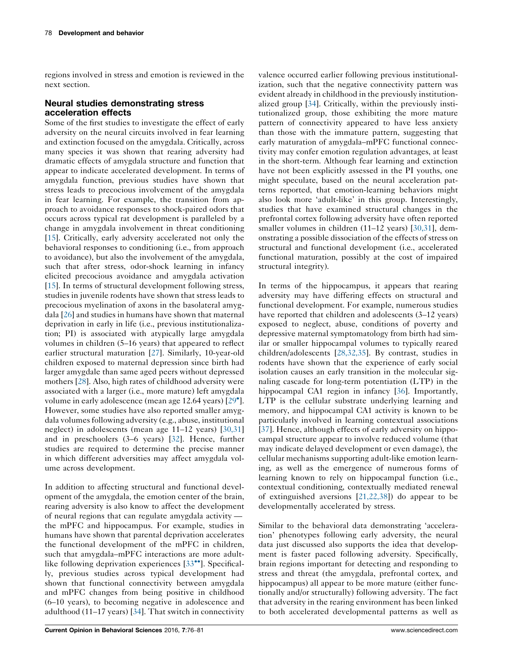regions involved in stress and emotion is reviewed in the next section.

# Neural studies demonstrating stress acceleration effects

Some of the first studies to investigate the effect of early adversity on the neural circuits involved in fear learning and extinction focused on the amygdala. Critically, across many species it was shown that rearing adversity had dramatic effects of amygdala structure and function that appear to indicate accelerated development. In terms of amygdala function, previous studies have shown that stress leads to precocious involvement of the amygdala in fear learning. For example, the transition from approach to avoidance responses to shock-paired odors that occurs across typical rat development is paralleled by a change in amygdala involvement in threat conditioning [\[15](#page-4-0)]. Critically, early adversity accelerated not only the behavioral responses to conditioning (i.e., from approach to avoidance), but also the involvement of the amygdala, such that after stress, odor-shock learning in infancy elicited precocious avoidance and amygdala activation [\[15](#page-4-0)]. In terms of structural development following stress, studies in juvenile rodents have shown that stress leads to precocious myelination of axons in the basolateral amygdala [[26\]](#page-4-0) and studies in humans have shown that maternal deprivation in early in life (i.e., previous institutionalization; PI) is associated with atypically large amygdala volumes in children (5–16 years) that appeared to reflect earlier structural maturation [\[27](#page-4-0)]. Similarly, 10-year-old children exposed to maternal depression since birth had larger amygdale than same aged peers without depressed mothers [[28\]](#page-4-0). Also, high rates of childhood adversity were associated with a larger (i.e., more mature) left amygdala volume in early adolescence (mean age 12.64 years) [[29](#page-4-0)°]. However, some studies have also reported smaller amygdala volumes following adversity (e.g., abuse, institutional neglect) in adolescents (mean age 11–12 years) [\[30,31\]](#page-4-0) and in preschoolers (3–6 years) [\[32](#page-4-0)]. Hence, further studies are required to determine the precise manner in which different adversities may affect amygdala volume across development.

In addition to affecting structural and functional development of the amygdala, the emotion center of the brain, rearing adversity is also know to affect the development of neural regions that can regulate amygdala activity the mPFC and hippocampus. For example, studies in humans have shown that parental deprivation accelerates the functional development of the mPFC in children, such that amygdala–mPFC interactions are more adult-like following deprivation experiences [[33](#page-4-0)<sup>\*</sup>]. Specifically, previous studies across typical development had shown that functional connectivity between amygdala and mPFC changes from being positive in childhood (6–10 years), to becoming negative in adolescence and adulthood (11–17 years) [\[34](#page-5-0)]. That switch in connectivity valence occurred earlier following previous institutionalization, such that the negative connectivity pattern was evident already in childhood in the previously institutionalized group [[34\]](#page-5-0). Critically, within the previously institutionalized group, those exhibiting the more mature pattern of connectivity appeared to have less anxiety than those with the immature pattern, suggesting that early maturation of amygdala–mPFC functional connectivity may confer emotion regulation advantages, at least in the short-term. Although fear learning and extinction have not been explicitly assessed in the PI youths, one might speculate, based on the neural acceleration patterns reported, that emotion-learning behaviors might also look more 'adult-like' in this group. Interestingly, studies that have examined structural changes in the prefrontal cortex following adversity have often reported smaller volumes in children (11–12 years) [\[30,31\]](#page-4-0), demonstrating a possible dissociation of the effects of stress on structural and functional development (i.e., accelerated functional maturation, possibly at the cost of impaired structural integrity).

In terms of the hippocampus, it appears that rearing adversity may have differing effects on structural and functional development. For example, numerous studies have reported that children and adolescents  $(3-12 \text{ years})$ exposed to neglect, abuse, conditions of poverty and depressive maternal symptomatology from birth had similar or smaller hippocampal volumes to typically reared children/adolescents [[28,32,35\]](#page-4-0). By contrast, studies in rodents have shown that the experience of early social isolation causes an early transition in the molecular signaling cascade for long-term potentiation (LTP) in the hippocampal CA1 region in infancy [[36\]](#page-5-0). Importantly, LTP is the cellular substrate underlying learning and memory, and hippocampal CA1 activity is known to be particularly involved in learning contextual associations [\[37](#page-5-0)]. Hence, although effects of early adversity on hippocampal structure appear to involve reduced volume (that may indicate delayed development or even damage), the cellular mechanisms supporting adult-like emotion learning, as well as the emergence of numerous forms of learning known to rely on hippocampal function (i.e., contextual conditioning, contextually mediated renewal of extinguished aversions [[21,22,38\]](#page-4-0)) do appear to be developmentally accelerated by stress.

Similar to the behavioral data demonstrating 'acceleration' phenotypes following early adversity, the neural data just discussed also supports the idea that development is faster paced following adversity. Specifically, brain regions important for detecting and responding to stress and threat (the amygdala, prefrontal cortex, and hippocampus) all appear to be more mature (either functionally and/or structurally) following adversity. The fact that adversity in the rearing environment has been linked to both accelerated developmental patterns as well as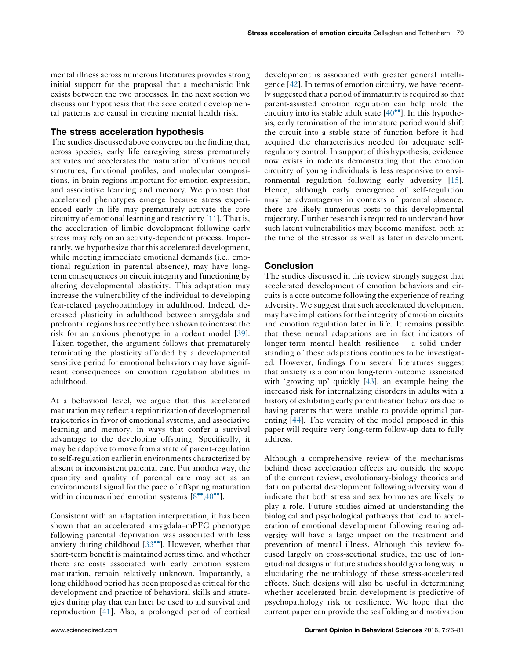mental illness across numerous literatures provides strong initial support for the proposal that a mechanistic link exists between the two processes. In the next section we discuss our hypothesis that the accelerated developmental patterns are causal in creating mental health risk.

#### The stress acceleration hypothesis

The studies discussed above converge on the finding that, across species, early life caregiving stress prematurely activates and accelerates the maturation of various neural structures, functional profiles, and molecular compositions, in brain regions important for emotion expression, and associative learning and memory. We propose that accelerated phenotypes emerge because stress experienced early in life may prematurely activate the core circuitry of emotional learning and reactivity [\[11](#page-4-0)]. That is, the acceleration of limbic development following early stress may rely on an activity-dependent process. Importantly, we hypothesize that this accelerated development, while meeting immediate emotional demands (i.e., emotional regulation in parental absence), may have longterm consequences on circuit integrity and functioning by altering developmental plasticity. This adaptation may increase the vulnerability of the individual to developing fear-related psychopathology in adulthood. Indeed, decreased plasticity in adulthood between amygdala and prefrontal regions has recently been shown to increase the risk for an anxious phenotype in a rodent model [\[39](#page-5-0)]. Taken together, the argument follows that prematurely terminating the plasticity afforded by a developmental sensitive period for emotional behaviors may have significant consequences on emotion regulation abilities in adulthood.

At a behavioral level, we argue that this accelerated maturation may reflect a reprioritization of developmental trajectories in favor of emotional systems, and associative learning and memory, in ways that confer a survival advantage to the developing offspring. Specifically, it may be adaptive to move from a state of parent-regulation to self-regulation earlier in environments characterized by absent or inconsistent parental care. Put another way, the quantity and quality of parental care may act as an environmental signal for the pace of offspring maturation within circumscribed emotion systems  $[8^{\bullet\bullet}, 40^{\bullet\bullet}]$  $[8^{\bullet\bullet}, 40^{\bullet\bullet}]$ .

Consistent with an adaptation interpretation, it has been shown that an accelerated amygdala–mPFC phenotype following parental deprivation was associated with less anxiety during childhood [\[33](#page-4-0)<sup>\*</sup>]. However, whether that short-term benefit is maintained across time, and whether there are costs associated with early emotion system maturation, remain relatively unknown. Importantly, a long childhood period has been proposed as critical for the development and practice of behavioral skills and strategies during play that can later be used to aid survival and reproduction [\[41](#page-5-0)]. Also, a prolonged period of cortical

development is associated with greater general intelligence [[42\]](#page-5-0). In terms of emotion circuitry, we have recently suggested that a period of immaturity is required so that parent-assisted emotion regulation can help mold the circuitry into its stable adult state  $[40^{\bullet\bullet}]$  $[40^{\bullet\bullet}]$  $[40^{\bullet\bullet}]$ . In this hypothesis, early termination of the immature period would shift the circuit into a stable state of function before it had acquired the characteristics needed for adequate selfregulatory control. In support of this hypothesis, evidence now exists in rodents demonstrating that the emotion circuitry of young individuals is less responsive to environmental regulation following early adversity [[15\]](#page-4-0). Hence, although early emergence of self-regulation may be advantageous in contexts of parental absence, there are likely numerous costs to this developmental trajectory. Further research is required to understand how such latent vulnerabilities may become manifest, both at the time of the stressor as well as later in development.

## **Conclusion**

The studies discussed in this review strongly suggest that accelerated development of emotion behaviors and circuits is a core outcome following the experience of rearing adversity. We suggest that such accelerated development may have implications for the integrity of emotion circuits and emotion regulation later in life. It remains possible that these neural adaptations are in fact indicators of longer-term mental health resilience — a solid understanding of these adaptations continues to be investigated. However, findings from several literatures suggest that anxiety is a common long-term outcome associated with 'growing up' quickly [[43\]](#page-5-0), an example being the increased risk for internalizing disorders in adults with a history of exhibiting early parentification behaviors due to having parents that were unable to provide optimal parenting [\[44](#page-5-0)]. The veracity of the model proposed in this paper will require very long-term follow-up data to fully address.

Although a comprehensive review of the mechanisms behind these acceleration effects are outside the scope of the current review, evolutionary-biology theories and data on pubertal development following adversity would indicate that both stress and sex hormones are likely to play a role. Future studies aimed at understanding the biological and psychological pathways that lead to acceleration of emotional development following rearing adversity will have a large impact on the treatment and prevention of mental illness. Although this review focused largely on cross-sectional studies, the use of longitudinal designs in future studies should go a long way in elucidating the neurobiology of these stress-accelerated effects. Such designs will also be useful in determining whether accelerated brain development is predictive of psychopathology risk or resilience. We hope that the current paper can provide the scaffolding and motivation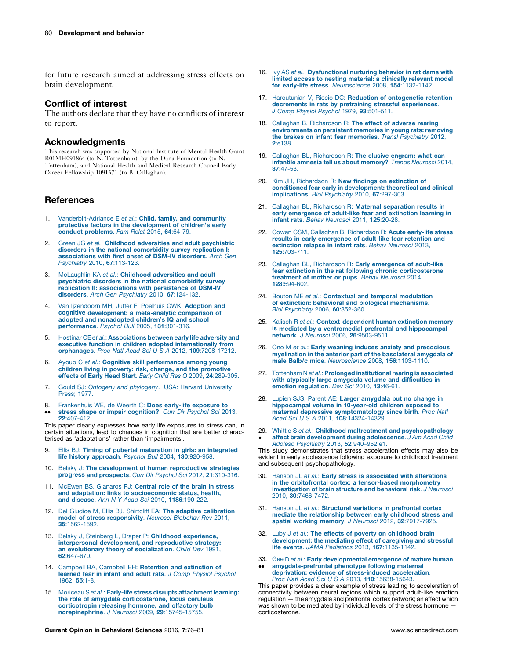<span id="page-4-0"></span>for future research aimed at addressing stress effects on brain development.

## Conflict of interest

The authors declare that they have no conflicts of interest to report.

#### Acknowledgments

This research was supported by National Institute of Mental Health Grant R01MH091864 (to N. Tottenham), by the Dana Foundation (to N. Tottenham), and National Health and Medical Research Council Early Career Fellowship 1091571 (to B. Callaghan).

## **References**

- [Vanderbilt-Adriance](http://refhub.elsevier.com/S2352-1546(15)00158-8/sbref0005) E et al.: Child, family, and community protective factors in the [development](http://refhub.elsevier.com/S2352-1546(15)00158-8/sbref0005) of children's early conduct [problems](http://refhub.elsevier.com/S2352-1546(15)00158-8/sbref0005). Fam Relat 2015, 64:64-79.
- Green JG et al.: Childhood [adversities](http://refhub.elsevier.com/S2352-1546(15)00158-8/sbref0010) and adult psychiatric disorders in the national [comorbidity](http://refhub.elsevier.com/S2352-1546(15)00158-8/sbref0010) survey replication I: [associations](http://refhub.elsevier.com/S2352-1546(15)00158-8/sbref0010) with first onset of DSM-IV disorders. Arch Gen [Psychiatry](http://refhub.elsevier.com/S2352-1546(15)00158-8/sbref0010) 2010, 67:113-123.
- 3. [McLaughlin](http://refhub.elsevier.com/S2352-1546(15)00158-8/sbref0015) KA et al.: Childhood adversities and adult psychiatric disorders in the national [comorbidity](http://refhub.elsevier.com/S2352-1546(15)00158-8/sbref0015) survey replication II: [associations](http://refhub.elsevier.com/S2352-1546(15)00158-8/sbref0015) with persistence of DSM-IV disorders. Arch Gen [Psychiatry](http://refhub.elsevier.com/S2352-1546(15)00158-8/sbref0015) 2010, 67:124-132.
- Van [Ijzendoorn](http://refhub.elsevier.com/S2352-1546(15)00158-8/sbref0020) MH, Juffer F, Poelhuis CWK: Adoption and cognitive development: a [meta-analytic](http://refhub.elsevier.com/S2352-1546(15)00158-8/sbref0020) comparison of adopted and [nonadopted](http://refhub.elsevier.com/S2352-1546(15)00158-8/sbref0020) children's IQ and school [performance](http://refhub.elsevier.com/S2352-1546(15)00158-8/sbref0020). Psychol Bull 2005, 131:301-316.
- 5. Hostinar CE et al.: [Associations](http://refhub.elsevier.com/S2352-1546(15)00158-8/sbref0025) between early life adversity and executive function in children adopted [internationally](http://refhub.elsevier.com/S2352-1546(15)00158-8/sbref0025) from orphanages. Proc Natl Acad Sci U S A 2012, 109[:7208-17212.](http://refhub.elsevier.com/S2352-1546(15)00158-8/sbref0025)
- 6. Ayoub C et al.: Cognitive skill [performance](http://refhub.elsevier.com/S2352-1546(15)00158-8/sbref0030) among young children living in poverty: risk, change, and the [promotive](http://refhub.elsevier.com/S2352-1546(15)00158-8/sbref0030)<br>effects of Early Head Start. *Early Child Res Q 2009*, 24[:289-305.](http://refhub.elsevier.com/S2352-1546(15)00158-8/sbref0030)
- 7. Gould SJ: Ontogeny and [phylogeny](http://refhub.elsevier.com/S2352-1546(15)00158-8/sbref0035). USA: Harvard University [Press;](http://refhub.elsevier.com/S2352-1546(15)00158-8/sbref0035) 1977.
- 8.  $\bullet$  $\bullet$ [Frankenhuis](http://refhub.elsevier.com/S2352-1546(15)00158-8/sbref0040) WE, de Weerth C: Does early-life exposure to stress shape or impair [cognition?](http://refhub.elsevier.com/S2352-1546(15)00158-8/sbref0040) Curr Dir Psychol Sci 2013,  $22.407 - 412$

This paper clearly expresses how early life exposures to stress can, in certain situations, lead to changes in cognition that are better characterised as 'adaptations' rather than 'impairments'.

- 9. Ellis BJ: Timing of pubertal [maturation](http://refhub.elsevier.com/S2352-1546(15)00158-8/sbref0045) in girls: an integrated life history [approach](http://refhub.elsevier.com/S2352-1546(15)00158-8/sbref0045). Psychol Bull 2004, 130:920-958
- 10. Belsky J: The [development](http://refhub.elsevier.com/S2352-1546(15)00158-8/sbref0050) of human reproductive strategies progress and [prospects](http://refhub.elsevier.com/S2352-1546(15)00158-8/sbref0050). Curr Dir Psychol Sci 2012, 21:310-316.
- 11. McEwen BS, [Gianaros](http://refhub.elsevier.com/S2352-1546(15)00158-8/sbref0055) PJ: Central role of the brain in stress and adaptation: links to [socioeconomic](http://refhub.elsevier.com/S2352-1546(15)00158-8/sbref0055) status, health, and disease. Ann N Y Acad Sci 2010, 1186[:190-222.](http://refhub.elsevier.com/S2352-1546(15)00158-8/sbref0055)
- 12. Del Giudice M, Ellis BJ, Shirtcliff EA: The adaptive [calibration](http://refhub.elsevier.com/S2352-1546(15)00158-8/sbref0060) model of stress [responsivity](http://refhub.elsevier.com/S2352-1546(15)00158-8/sbref0060). Neurosci Biobehav Rev 2011, 35[:1562-1592.](http://refhub.elsevier.com/S2352-1546(15)00158-8/sbref0060)
- 13. Belsky J, Steinberg L, Draper P: Childhood [experience,](http://refhub.elsevier.com/S2352-1546(15)00158-8/sbref0065) interpersonal [development,](http://refhub.elsevier.com/S2352-1546(15)00158-8/sbref0065) and reproductive strategy: an evolutionary theory of [socialization](http://refhub.elsevier.com/S2352-1546(15)00158-8/sbref0065). Child Dev 1991, 62[:647-670.](http://refhub.elsevier.com/S2352-1546(15)00158-8/sbref0065)
- 14. Campbell BA, Campbell EH: Retention and [extinction](http://refhub.elsevier.com/S2352-1546(15)00158-8/sbref0070) of [learned](http://refhub.elsevier.com/S2352-1546(15)00158-8/sbref0070) fear in infant and adult rats. J Comp Physiol Psychol [1962,](http://refhub.elsevier.com/S2352-1546(15)00158-8/sbref0070) 55:1-8.
- 15. Moriceau S et al.: Early-life stress disrupts [attachment](http://refhub.elsevier.com/S2352-1546(15)00158-8/sbref0075) learning: the role of amygdala [corticosterone,](http://refhub.elsevier.com/S2352-1546(15)00158-8/sbref0075) locus ceruleus [corticotropin](http://refhub.elsevier.com/S2352-1546(15)00158-8/sbref0075) releasing hormone, and olfactory bulb<br>[norepinephrine](http://refhub.elsevier.com/S2352-1546(15)00158-8/sbref0075). J Neurosci 2009, 29:15745-15755.
- 16. Ivy AS et al.: [Dysfunctional](http://refhub.elsevier.com/S2352-1546(15)00158-8/sbref0080) nurturing behavior in rat dams with limited access to nesting [material:](http://refhub.elsevier.com/S2352-1546(15)00158-8/sbref0080) a clinically relevant model for early-life stress. [Neuroscience](http://refhub.elsevier.com/S2352-1546(15)00158-8/sbref0080) 2008, 154:1132-1142.
- 17. Haroutunian V, Riccio DC: Reduction of [ontogenetic](http://refhub.elsevier.com/S2352-1546(15)00158-8/sbref0085) retention decrements in rats by pretraining stressful [experiences](http://refhub.elsevier.com/S2352-1546(15)00158-8/sbref0085). J Comp Physiol Psychol 1979, 93[:501-511.](http://refhub.elsevier.com/S2352-1546(15)00158-8/sbref0085)
- 18. Callaghan B, [Richardson](http://refhub.elsevier.com/S2352-1546(15)00158-8/sbref0090) R: The effect of adverse rearing [environments](http://refhub.elsevier.com/S2352-1546(15)00158-8/sbref0090) on persistent [memories](http://refhub.elsevier.com/S2352-1546(15)00158-8/sbref0090) in young rats: removing<br>the brakes on infant fear memories. Transl Psychiatry 2012, 2[:e138.](http://refhub.elsevier.com/S2352-1546(15)00158-8/sbref0090)
- 19. Callaghan BL, [Richardson](http://refhub.elsevier.com/S2352-1546(15)00158-8/sbref0095) R: The elusive engram: what can infantile amnesia tell us about [memory?](http://refhub.elsevier.com/S2352-1546(15)00158-8/sbref0095) Trends Neurosci 2014, 37[:47-53.](http://refhub.elsevier.com/S2352-1546(15)00158-8/sbref0095)
- 20. Kim JH, [Richardson](http://refhub.elsevier.com/S2352-1546(15)00158-8/sbref0100) R: New findings on extinction of conditioned fear early in [development:](http://refhub.elsevier.com/S2352-1546(15)00158-8/sbref0100) theoretical and clinical [implications](http://refhub.elsevier.com/S2352-1546(15)00158-8/sbref0100). Biol Psychiatry 2010, 67:297-303.
- 21. Callaghan BL, [Richardson](http://refhub.elsevier.com/S2352-1546(15)00158-8/sbref0105) R: Maternal separation results in early [emergence](http://refhub.elsevier.com/S2352-1546(15)00158-8/sbref0105) of adult-like fear and extinction learning in infant rats. Behav [Neurosci](http://refhub.elsevier.com/S2352-1546(15)00158-8/sbref0105) 2011, 125:20-28.
- 22. Cowan CSM, Callaghan B, [Richardson](http://refhub.elsevier.com/S2352-1546(15)00158-8/sbref0110) R: Acute early-life stress results in early [emergence](http://refhub.elsevier.com/S2352-1546(15)00158-8/sbref0110) of adult-like fear retention and [extinction](http://refhub.elsevier.com/S2352-1546(15)00158-8/sbref0110) relapse in infant rats. Behav Neurosci 2013, 125[:703-711.](http://refhub.elsevier.com/S2352-1546(15)00158-8/sbref0110)
- 23. Callaghan BL, Richardson R: Early [emergence](http://refhub.elsevier.com/S2352-1546(15)00158-8/sbref0115) of adult-like fear extinction in the rat following chronic [corticosterone](http://refhub.elsevier.com/S2352-1546(15)00158-8/sbref0115) [treatment](http://refhub.elsevier.com/S2352-1546(15)00158-8/sbref0115) of mother or pups. Behav Neurosci 2014, 128[:594-602.](http://refhub.elsevier.com/S2352-1546(15)00158-8/sbref0115)
- 24. Bouton ME et al.: Contextual and temporal [modulation](http://refhub.elsevier.com/S2352-1546(15)00158-8/sbref0120) of extinction: behavioral and biological [mechanisms](http://refhub.elsevier.com/S2352-1546(15)00158-8/sbref0120). Biol [Psychiatry](http://refhub.elsevier.com/S2352-1546(15)00158-8/sbref0120) 2006, 60:352-360.
- 25. Kalisch R et al.: [Context-dependent](http://refhub.elsevier.com/S2352-1546(15)00158-8/sbref0125) human extinction memory is mediated by a [ventromedial](http://refhub.elsevier.com/S2352-1546(15)00158-8/sbref0125) prefrontal and hippocampal network. J Neurosci 2006, 26[:9503-9511.](http://refhub.elsevier.com/S2352-1546(15)00158-8/sbref0125)
- 26. Ono M et al.: Early weaning induces anxiety and [precocious](http://refhub.elsevier.com/S2352-1546(15)00158-8/sbref0130) [myelination](http://refhub.elsevier.com/S2352-1546(15)00158-8/sbref0130) in the anterior part of the basolateral amygdala of male Balb/c mice. [Neuroscience](http://refhub.elsevier.com/S2352-1546(15)00158-8/sbref0130) 2008, 156:1103-1110.
- 27. Tottenham N et al.: Prolonged [institutional](http://refhub.elsevier.com/S2352-1546(15)00158-8/sbref0135) rearing is associated with atypically large amygdala volume and [difficulties](http://refhub.elsevier.com/S2352-1546(15)00158-8/sbref0135) in emotion [regulation](http://refhub.elsevier.com/S2352-1546(15)00158-8/sbref0135). Dev Sci 2010, 13:46-61.
- 28. Lupien SJS, Parent AE: Larger [amygdala](http://refhub.elsevier.com/S2352-1546(15)00158-8/sbref0140) but no change in [hippocampal](http://refhub.elsevier.com/S2352-1546(15)00158-8/sbref0140) volume in 10-year-old children exposed to maternal depressive [symptomatology](http://refhub.elsevier.com/S2352-1546(15)00158-8/sbref0140) since birth. Proc Natl Acad Sci U S A 2011, 108[:14324-14329.](http://refhub.elsevier.com/S2352-1546(15)00158-8/sbref0140)
- 29. 29. Whittle S et al.: Childhood maltreatment and [psychopathology](http://refhub.elsevier.com/S2352-1546(15)00158-8/sbref0145)<br>• affect brain [development](http://refhub.elsevier.com/S2352-1546(15)00158-8/sbref0145) during adolescence. J Am Acad Child Adolesc [Psychiatry](http://refhub.elsevier.com/S2352-1546(15)00158-8/sbref0145) 2013, 52 940–952.e1.

This study demonstrates that stress acceleration effects may also be evident in early adolescence following exposure to childhood treatment and subsequent psychopathology.

- Hanson JL et al.: Early stress is [associated](http://refhub.elsevier.com/S2352-1546(15)00158-8/sbref0150) with alterations in the orbitofrontal cortex: a tensor-based [morphometry](http://refhub.elsevier.com/S2352-1546(15)00158-8/sbref0150) [investigation](http://refhub.elsevier.com/S2352-1546(15)00158-8/sbref0150) of brain structure and behavioral risk. J Neurosci 2010, 30[:7466-7472.](http://refhub.elsevier.com/S2352-1546(15)00158-8/sbref0150)
- 31. Hanson JL et al.: [Structural](http://refhub.elsevier.com/S2352-1546(15)00158-8/sbref0155) variations in prefrontal cortex mediate the [relationship](http://refhub.elsevier.com/S2352-1546(15)00158-8/sbref0155) between early childhood stress and spatial working memory. J Neurosci 2012, 32[:7917-7925.](http://refhub.elsevier.com/S2352-1546(15)00158-8/sbref0155)
- 32. Luby J et al.: The effects of poverty on [childhood](http://refhub.elsevier.com/S2352-1546(15)00158-8/sbref0160) brain [development:](http://refhub.elsevier.com/S2352-1546(15)00158-8/sbref0160) the mediating effect of caregiving and stressful life events. JAMA Pediatrics 2013, 167[:1135-1142.](http://refhub.elsevier.com/S2352-1546(15)00158-8/sbref0160)
- 33. Gee D et al.: Early [developmental](http://refhub.elsevier.com/S2352-1546(15)00158-8/sbref0165) emergence of mature human -[amygdala-prefrontal](http://refhub.elsevier.com/S2352-1546(15)00158-8/sbref0165) phenotype following maternal deprivation: evidence of [stress-induced](http://refhub.elsevier.com/S2352-1546(15)00158-8/sbref0165) acceleration.<br>Proc Natl Acad Sci U S A 2013, 110[:15638-15643.](http://refhub.elsevier.com/S2352-1546(15)00158-8/sbref0165)

This paper provides a clear example of stress leading to acceleration of connectivity between neural regions which support adult-like emotion regulation — the amygdala and prefrontal cortex network; an effect which was shown to be mediated by individual levels of the stress hormone corticosterone.